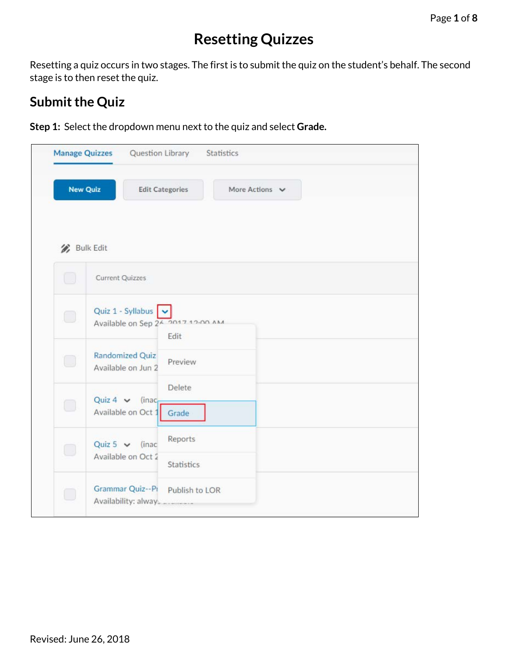## **Resetting Quizzes**

Resetting a quiz occurs in two stages. The first is to submit the quiz on the student's behalf. The second stage is to then reset the quiz.

## **Submit the Quiz**

**Step 1:** Select the dropdown menu next to the quiz and select **Grade.** 

|                      | Manage Quizzes Question Library<br>Statistics                             |
|----------------------|---------------------------------------------------------------------------|
|                      | <b>New Quiz</b><br><b>Edit Categories</b><br>More Actions $\vee$          |
| <b>Bulk Edit</b>     |                                                                           |
| u                    | <b>Current Quizzes</b>                                                    |
| 0                    | Quiz 1 - Syllabus<br>Available on Sep 24 2017 12:00 AM<br>Edit            |
| O                    | Randomized Quiz<br>Preview<br>Available on Jun 2                          |
| 0                    | Delete<br>Quiz 4 $\vee$ (inac<br>Available on Oct 1<br>Grade              |
| $\hspace{0.5cm}\Box$ | Reports<br>Quiz 5 $\vee$ (inac<br>Available on Oct 2<br><b>Statistics</b> |
| O                    | Grammar Quiz--PI<br>Publish to LOR<br>Availability: alway.                |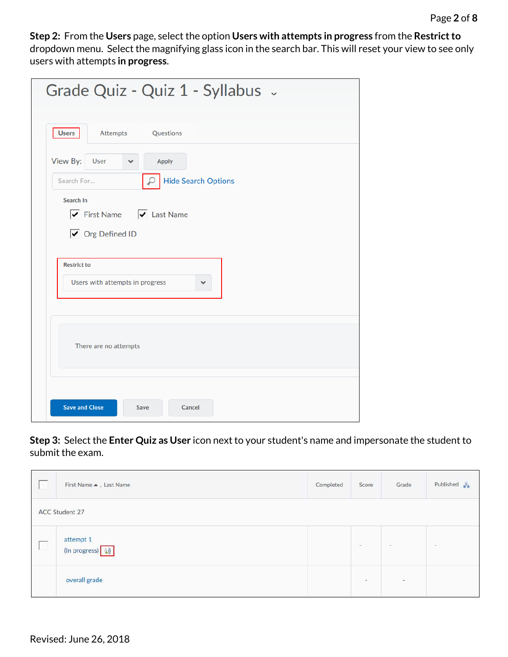**Step 2:** From the **Users** page, select the option **Users with attempts in progress** from the **Restrict to**  dropdown menu. Select the magnifying glass icon in the search bar. This will reset your view to see only users with attempts **in progress**.

| Grade Quiz - Quiz 1 - Syllabus ~                                                                              |
|---------------------------------------------------------------------------------------------------------------|
| Attempts Questions<br><b>Users</b>                                                                            |
| View By:<br>User<br><b>Apply</b><br>$\checkmark$<br><b>Hide Search Options</b><br>Search For<br>₽             |
| Search In<br>$\boxed{\checkmark}$ First Name $\boxed{\checkmark}$ Last Name<br>$\triangledown$ Org Defined ID |
| <b>Restrict to</b><br>Users with attempts in progress<br>$\checkmark$                                         |
| There are no attempts                                                                                         |
| <b>Save and Close</b><br>Cancel<br>Save                                                                       |

**Step 3:** Select the **Enter Quiz as User** icon next to your student's name and impersonate the student to submit the exam.

| First Name . Last Name     | Completed | Score                                                                                                                                                                                                                                                                                                                                                                                                                                                                      | Grade  | Published $\frac{\pi}{2a}$ |
|----------------------------|-----------|----------------------------------------------------------------------------------------------------------------------------------------------------------------------------------------------------------------------------------------------------------------------------------------------------------------------------------------------------------------------------------------------------------------------------------------------------------------------------|--------|----------------------------|
| <b>ACC Student 27</b>      |           |                                                                                                                                                                                                                                                                                                                                                                                                                                                                            |        |                            |
| attempt 1<br>(In progress) |           | $\frac{1}{2} \left( \frac{1}{2} \right) \left( \frac{1}{2} \right) \left( \frac{1}{2} \right) \left( \frac{1}{2} \right) \left( \frac{1}{2} \right) \left( \frac{1}{2} \right) \left( \frac{1}{2} \right) \left( \frac{1}{2} \right) \left( \frac{1}{2} \right) \left( \frac{1}{2} \right) \left( \frac{1}{2} \right) \left( \frac{1}{2} \right) \left( \frac{1}{2} \right) \left( \frac{1}{2} \right) \left( \frac{1}{2} \right) \left( \frac{1}{2} \right) \left( \frac$ | $\sim$ | $\sim$                     |
| overall grade              |           | $\sim$                                                                                                                                                                                                                                                                                                                                                                                                                                                                     |        |                            |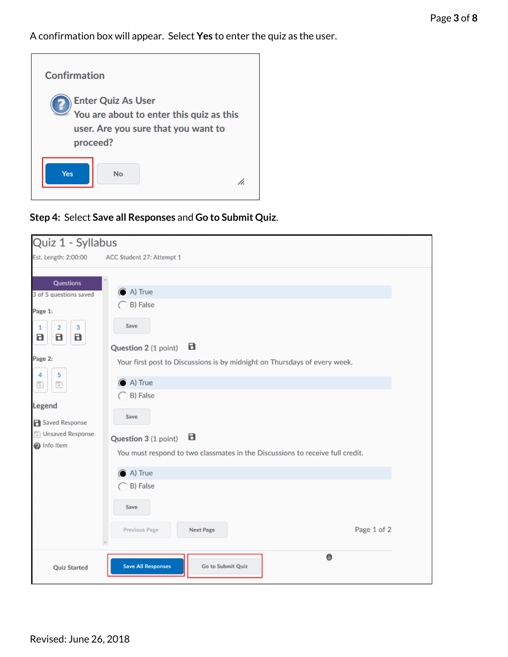A confirmation box will appear. Select **Yes** to enter the quiz as the user.



**Step 4:** Select **Save all Responses** and **Go to Submit Quiz**.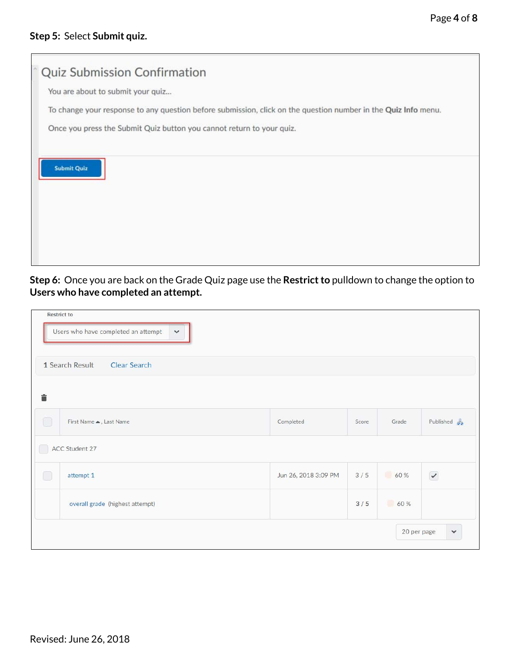|                                   | Quiz Submission Confirmation                                          |                                                                                                                |
|-----------------------------------|-----------------------------------------------------------------------|----------------------------------------------------------------------------------------------------------------|
| You are about to submit your quiz |                                                                       |                                                                                                                |
|                                   |                                                                       | To change your response to any question before submission, click on the question number in the Quiz Info menu. |
|                                   | Once you press the Submit Quiz button you cannot return to your quiz. |                                                                                                                |
|                                   |                                                                       |                                                                                                                |
| <b>Submit Quiz</b>                |                                                                       |                                                                                                                |
|                                   |                                                                       |                                                                                                                |
|                                   |                                                                       |                                                                                                                |
|                                   |                                                                       |                                                                                                                |
|                                   |                                                                       |                                                                                                                |
|                                   |                                                                       |                                                                                                                |

**Step 6:** Once you are back on the Grade Quiz page use the **Restrict to** pulldown to change the option to **Users who have completed an attempt.**

| <b>Restrict to</b> | Users who have completed an attempt<br>$\checkmark$ |                      |       |             |                         |
|--------------------|-----------------------------------------------------|----------------------|-------|-------------|-------------------------|
|                    | 1 Search Result<br><b>Clear Search</b>              |                      |       |             |                         |
| â                  |                                                     |                      |       |             |                         |
| 0                  | First Name . Last Name                              | Completed            | Score | Grade       | Published $\frac{p}{g}$ |
|                    | ACC Student 27                                      |                      |       |             |                         |
| ∩                  | attempt 1                                           | Jun 26, 2018 3:09 PM | 3/5   | 60 %        | $\checkmark$            |
|                    | overall grade (highest attempt)                     |                      | 3/5   | 60 %        |                         |
|                    |                                                     |                      |       | 20 per page | $\checkmark$            |

Revised: June 26, 2018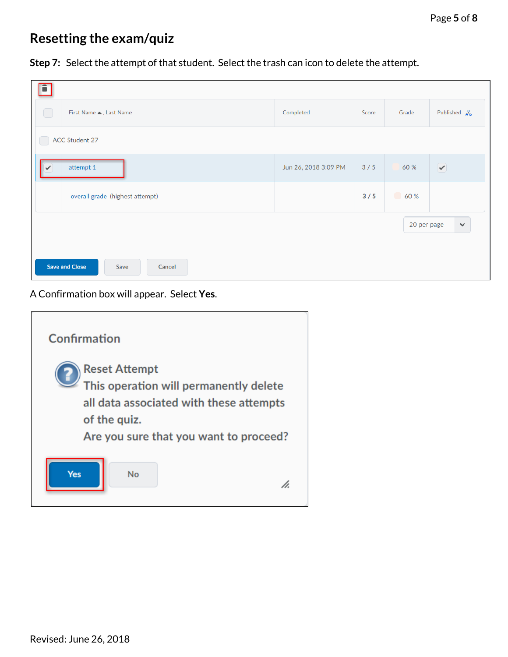## **Resetting the exam/quiz**

**Step 7:** Select the attempt of that student. Select the trash can icon to delete the attempt.

| î                                       |                      |       |             |                                    |  |  |  |  |  |
|-----------------------------------------|----------------------|-------|-------------|------------------------------------|--|--|--|--|--|
| First Name ▲, Last Name<br>U            | Completed            | Score | Grade       | Published $\frac{\Box}{\Box \Box}$ |  |  |  |  |  |
| ACC Student 27                          |                      |       |             |                                    |  |  |  |  |  |
| attempt 1<br>✓                          | Jun 26, 2018 3:09 PM | 3/5   | 60 %        | $\blacktriangledown$               |  |  |  |  |  |
| overall grade (highest attempt)         |                      | 3/5   | 60%         |                                    |  |  |  |  |  |
|                                         |                      |       | 20 per page | $\checkmark$                       |  |  |  |  |  |
| <b>Save and Close</b><br>Cancel<br>Save |                      |       |             |                                    |  |  |  |  |  |

A Confirmation box will appear. Select **Yes**.

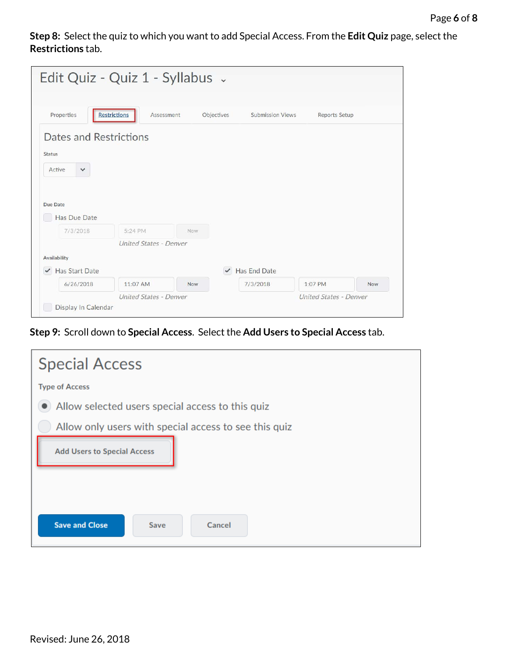**Step 8:** Select the quiz to which you want to add Special Access. From the **Edit Quiz** page, select the **Restrictions** tab.

| Edit Quiz - Quiz 1 - Syllabus -                                   |                                   |            |              |                         |                               |            |
|-------------------------------------------------------------------|-----------------------------------|------------|--------------|-------------------------|-------------------------------|------------|
| Properties                                                        | <b>Restrictions</b><br>Assessment |            | Objectives   | <b>Submission Views</b> | Reports Setup                 |            |
| Dates and Restrictions<br><b>Status</b><br>Active<br>$\checkmark$ |                                   |            |              |                         |                               |            |
| Due Date<br>Has Due Date                                          |                                   |            |              |                         |                               |            |
| 7/3/2018                                                          | 5:24 PM                           | Now.       |              |                         |                               |            |
| Availability                                                      | <b>United States - Denver</b>     |            |              |                         |                               |            |
| ✔ Has Start Date                                                  |                                   |            | $\checkmark$ | Has End Date            |                               |            |
| 6/26/2018                                                         | 11:07 AM                          | <b>Now</b> |              | 7/3/2018                | 1:07 PM                       | <b>Now</b> |
| Display In Calendar                                               | <b>United States - Denver</b>     |            |              |                         | <b>United States - Denver</b> |            |

**Step 9:** Scroll down to **Special Access**. Select the **Add Users to Special Access** tab.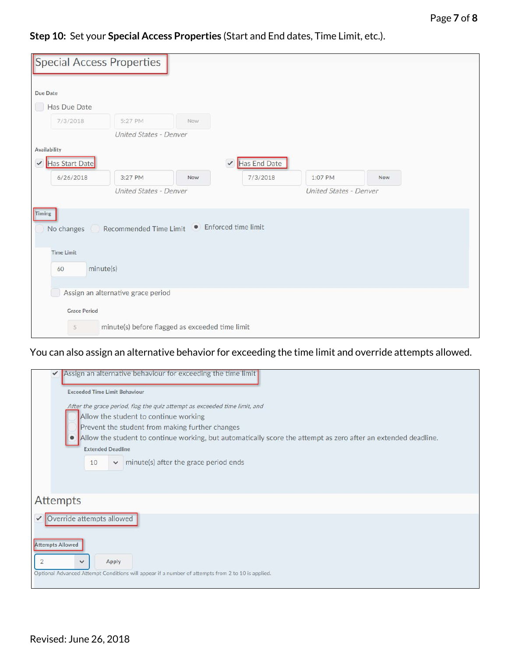**Step 10:** Set your **Special Access Properties** (Start and End dates, Time Limit, etc.).

|                                | <b>Special Access Properties</b>                |            |                              |                               |     |  |
|--------------------------------|-------------------------------------------------|------------|------------------------------|-------------------------------|-----|--|
| Due Date                       |                                                 |            |                              |                               |     |  |
| Has Due Date                   |                                                 |            |                              |                               |     |  |
| 7/3/2018                       | 5:27 PM                                         | <b>Now</b> |                              |                               |     |  |
|                                | United States - Denver                          |            |                              |                               |     |  |
| Availability                   |                                                 |            |                              |                               |     |  |
| Has Start Date<br>$\checkmark$ |                                                 |            | Has End Date<br>$\checkmark$ |                               |     |  |
| 6/26/2018                      | 3:27 PM                                         | Now        | 7/3/2018                     | 1:07 PM                       | Now |  |
|                                | United States - Denver                          |            |                              | <b>United States - Denver</b> |     |  |
| Timing                         | No changes Recommended Time Limit               |            | • Enforced time limit        |                               |     |  |
| <b>Time Limit</b><br>60        | minute(s)                                       |            |                              |                               |     |  |
|                                | Assign an alternative grace period              |            |                              |                               |     |  |
| <b>Grace Period</b>            |                                                 |            |                              |                               |     |  |
| 5                              | minute(s) before flagged as exceeded time limit |            |                              |                               |     |  |

You can also assign an alternative behavior for exceeding the time limit and override attempts allowed.

| Assign an alternative behaviour for exceeding the time limit                                                                               |
|--------------------------------------------------------------------------------------------------------------------------------------------|
| <b>Exceeded Time Limit Behaviour</b>                                                                                                       |
| After the grace period, flag the quiz attempt as exceeded time limit, and                                                                  |
| Allow the student to continue working                                                                                                      |
| Prevent the student from making further changes                                                                                            |
| Allow the student to continue working, but automatically score the attempt as zero after an extended deadline.<br><b>Extended Deadline</b> |
|                                                                                                                                            |
| minute(s) after the grace period ends<br>10<br>v.                                                                                          |
|                                                                                                                                            |
|                                                                                                                                            |
| <b>Attempts</b>                                                                                                                            |
| Override attempts allowed<br>$\checkmark$                                                                                                  |
|                                                                                                                                            |
| <b>Attempts Allowed</b>                                                                                                                    |
| Apply<br>$\checkmark$                                                                                                                      |
| Optional Advanced Attempt Conditions will appear if a number of attempts from 2 to 10 is applied.                                          |
|                                                                                                                                            |